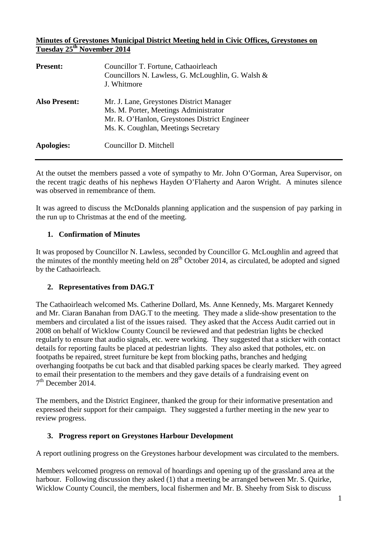### **Minutes of Greystones Municipal District Meeting held in Civic Offices, Greystones on Tuesday 25th November 2014**

| <b>Present:</b>      | Councillor T. Fortune, Cathaoirleach<br>Councillors N. Lawless, G. McLoughlin, G. Walsh &<br>J. Whitmore                                                                  |
|----------------------|---------------------------------------------------------------------------------------------------------------------------------------------------------------------------|
| <b>Also Present:</b> | Mr. J. Lane, Greystones District Manager<br>Ms. M. Porter, Meetings Administrator<br>Mr. R. O'Hanlon, Greystones District Engineer<br>Ms. K. Coughlan, Meetings Secretary |
| Apologies:           | Councillor D. Mitchell                                                                                                                                                    |

At the outset the members passed a vote of sympathy to Mr. John O'Gorman, Area Supervisor, on the recent tragic deaths of his nephews Hayden O'Flaherty and Aaron Wright. A minutes silence was observed in remembrance of them.

It was agreed to discuss the McDonalds planning application and the suspension of pay parking in the run up to Christmas at the end of the meeting.

### **1. Confirmation of Minutes**

It was proposed by Councillor N. Lawless, seconded by Councillor G. McLoughlin and agreed that the minutes of the monthly meeting held on  $28<sup>th</sup>$  October 2014, as circulated, be adopted and signed by the Cathaoirleach.

### **2. Representatives from DAG.T**

The Cathaoirleach welcomed Ms. Catherine Dollard, Ms. Anne Kennedy, Ms. Margaret Kennedy and Mr. Ciaran Banahan from DAG.T to the meeting. They made a slide-show presentation to the members and circulated a list of the issues raised. They asked that the Access Audit carried out in 2008 on behalf of Wicklow County Council be reviewed and that pedestrian lights be checked regularly to ensure that audio signals, etc. were working. They suggested that a sticker with contact details for reporting faults be placed at pedestrian lights. They also asked that potholes, etc. on footpaths be repaired, street furniture be kept from blocking paths, branches and hedging overhanging footpaths be cut back and that disabled parking spaces be clearly marked. They agreed to email their presentation to the members and they gave details of a fundraising event on  $7<sup>th</sup>$  December 2014.

The members, and the District Engineer, thanked the group for their informative presentation and expressed their support for their campaign. They suggested a further meeting in the new year to review progress.

### **3. Progress report on Greystones Harbour Development**

A report outlining progress on the Greystones harbour development was circulated to the members.

Members welcomed progress on removal of hoardings and opening up of the grassland area at the harbour. Following discussion they asked (1) that a meeting be arranged between Mr. S. Quirke, Wicklow County Council, the members, local fishermen and Mr. B. Sheehy from Sisk to discuss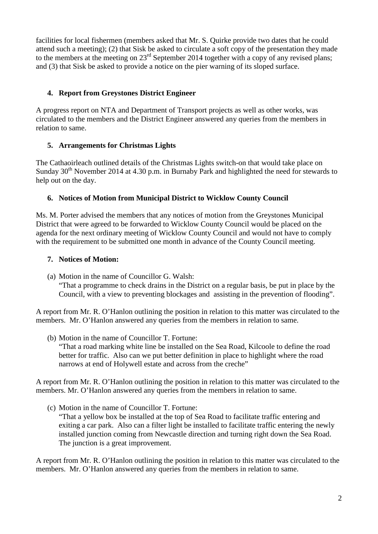facilities for local fishermen (members asked that Mr. S. Quirke provide two dates that he could attend such a meeting); (2) that Sisk be asked to circulate a soft copy of the presentation they made to the members at the meeting on 23<sup>rd</sup> September 2014 together with a copy of any revised plans; and (3) that Sisk be asked to provide a notice on the pier warning of its sloped surface.

### **4. Report from Greystones District Engineer**

A progress report on NTA and Department of Transport projects as well as other works, was circulated to the members and the District Engineer answered any queries from the members in relation to same.

# **5. Arrangements for Christmas Lights**

The Cathaoirleach outlined details of the Christmas Lights switch-on that would take place on Sunday  $30<sup>th</sup>$  November 2014 at 4.30 p.m. in Burnaby Park and highlighted the need for stewards to help out on the day.

# **6. Notices of Motion from Municipal District to Wicklow County Council**

Ms. M. Porter advised the members that any notices of motion from the Greystones Municipal District that were agreed to be forwarded to Wicklow County Council would be placed on the agenda for the next ordinary meeting of Wicklow County Council and would not have to comply with the requirement to be submitted one month in advance of the County Council meeting.

## **7. Notices of Motion:**

(a) Motion in the name of Councillor G. Walsh: "That a programme to check drains in the District on a regular basis, be put in place by the Council, with a view to preventing blockages and assisting in the prevention of flooding".

A report from Mr. R. O'Hanlon outlining the position in relation to this matter was circulated to the members. Mr. O'Hanlon answered any queries from the members in relation to same.

(b) Motion in the name of Councillor T. Fortune:

"That a road marking white line be installed on the Sea Road, Kilcoole to define the road better for traffic. Also can we put better definition in place to highlight where the road narrows at end of Holywell estate and across from the creche"

A report from Mr. R. O'Hanlon outlining the position in relation to this matter was circulated to the members. Mr. O'Hanlon answered any queries from the members in relation to same.

(c) Motion in the name of Councillor T. Fortune: "That a yellow box be installed at the top of Sea Road to facilitate traffic entering and exiting a car park. Also can a filter light be installed to facilitate traffic entering the newly installed junction coming from Newcastle direction and turning right down the Sea Road. The junction is a great improvement.

A report from Mr. R. O'Hanlon outlining the position in relation to this matter was circulated to the members. Mr. O'Hanlon answered any queries from the members in relation to same.